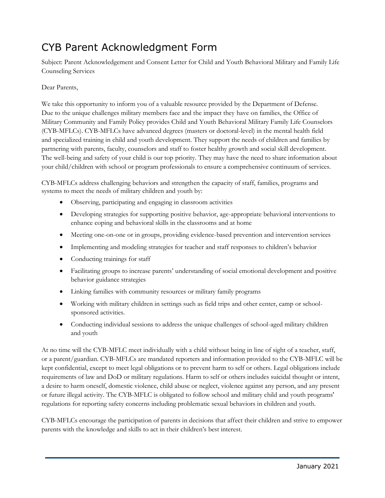## CYB Parent Acknowledgment Form

Subject: Parent Acknowledgement and Consent Letter for Child and Youth Behavioral Military and Family Life Counseling Services

## Dear Parents,

 We take this opportunity to inform you of a valuable resource provided by the Department of Defense. Due to the unique challenges military members face and the impact they have on families, the Office of The well-being and safety of your child is our top priority. They may have the need to share information about Military Community and Family Policy provides Child and Youth Behavioral Military Family Life Counselors (CYB-MFLCs). CYB-MFLCs have advanced degrees (masters or doctoral-level) in the mental health field and specialized training in child and youth development. They support the needs of children and families by partnering with parents, faculty, counselors and staff to foster healthy growth and social skill development.

 your child/children with school or program professionals to ensure a comprehensive continuum of services. CYB-MFLCs address challenging behaviors and strengthen the capacity of staff, families, programs and systems to meet the needs of military children and youth by:

- Observing, participating and engaging in classroom activities
- Developing strategies for supporting positive behavior, age-appropriate behavioral interventions to enhance coping and behavioral skills in the classrooms and at home
- Meeting one-on-one or in groups, providing evidence-based prevention and intervention services
- Implementing and modeling strategies for teacher and staff responses to children's behavior
- Conducting trainings for staff
- Facilitating groups to increase parents' understanding of social emotional development and positive behavior guidance strategies
- Linking families with community resources or military family programs
- Working with military children in settings such as field trips and other center, camp or schoolsponsored activities.
- Conducting individual sessions to address the unique challenges of school-aged military children and youth

At no time will the CYB-MFLC meet individually with a child without being in line of sight of a teacher, staff, or a parent/guardian. CYB-MFLCs are mandated reporters and information provided to the CYB-MFLC will be kept confidential, except to meet legal obligations or to prevent harm to self or others. Legal obligations include requirements of law and DoD or military regulations. Harm to self or others includes suicidal thought or intent, a desire to harm oneself, domestic violence, child abuse or neglect, violence against any person, and any present or future illegal activity. The CYB-MFLC is obligated to follow school and military child and youth programs' regulations for reporting safety concerns including problematic sexual behaviors in children and youth.

CYB-MFLCs encourage the participation of parents in decisions that affect their children and strive to empower parents with the knowledge and skills to act in their children's best interest.